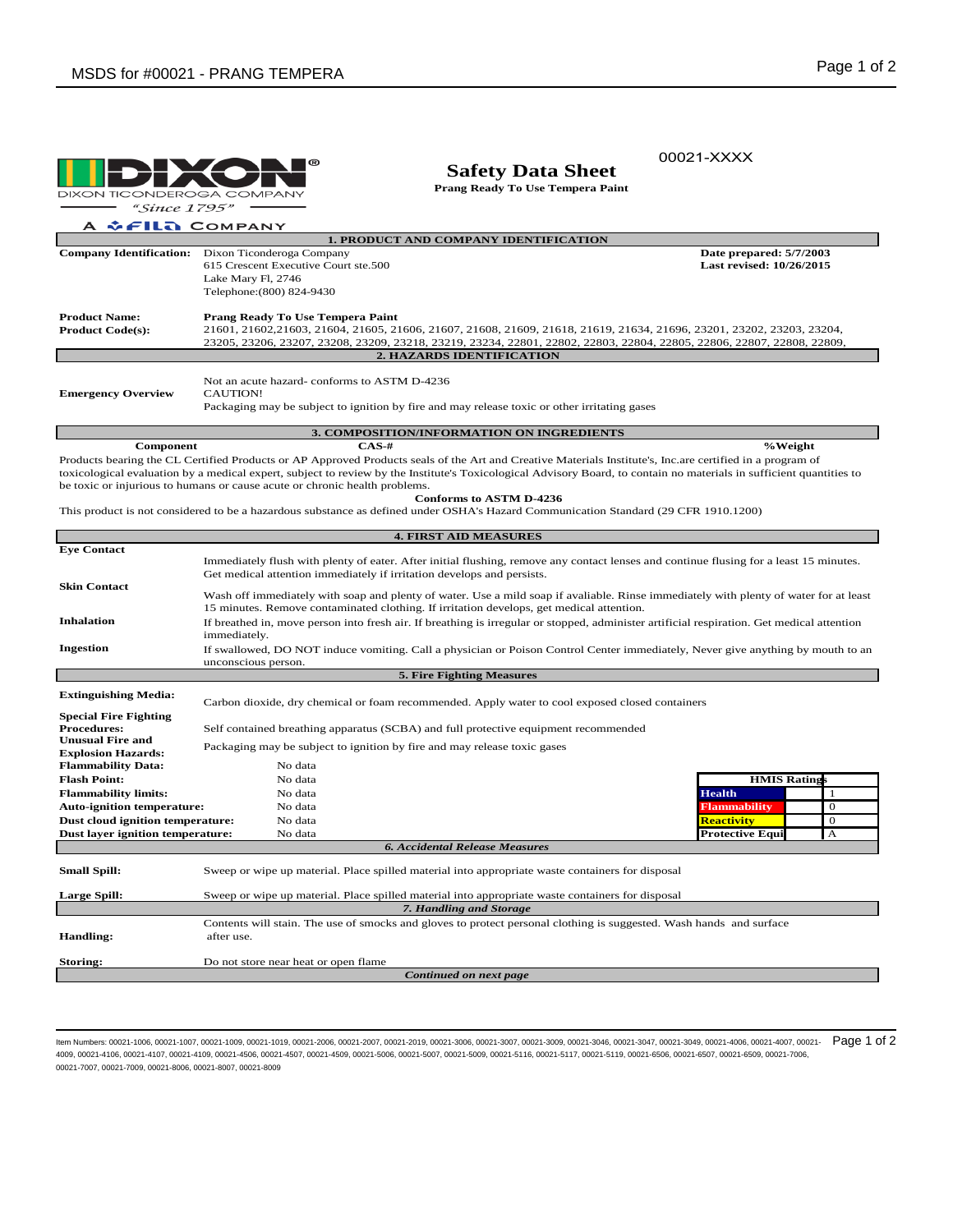

## **Safety Data Sheet**

**Prang Ready To Use Tempera Paint**

00021-XXXX

*<u><b>CELLA* COMPANY</u> A

| <b>1. PRODUCT AND COMPANY IDENTIFICATION</b> |                                                                                                                                                         |                          |  |  |  |  |  |
|----------------------------------------------|---------------------------------------------------------------------------------------------------------------------------------------------------------|--------------------------|--|--|--|--|--|
| <b>Company Identification:</b>               | Dixon Ticonderoga Company                                                                                                                               | Date prepared: 5/7/2003  |  |  |  |  |  |
|                                              | 615 Crescent Executive Court ste.500                                                                                                                    | Last revised: 10/26/2015 |  |  |  |  |  |
|                                              | Lake Mary Fl, 2746                                                                                                                                      |                          |  |  |  |  |  |
|                                              | Telephone: (800) 824-9430                                                                                                                               |                          |  |  |  |  |  |
| <b>Product Name:</b>                         | Prang Ready To Use Tempera Paint                                                                                                                        |                          |  |  |  |  |  |
| <b>Product Code(s):</b>                      | 21601, 21602, 21603, 21604, 21605, 21606, 21607, 21608, 21609, 21618, 21619, 21634, 21696, 23201, 23202, 23203, 23204,                                  |                          |  |  |  |  |  |
|                                              | 23205, 23206, 23207, 23208, 23209, 23218, 23219, 23234, 22801, 22802, 22803, 22804, 22805, 22806, 22807, 22808, 22809,                                  |                          |  |  |  |  |  |
| <b>2. HAZARDS IDENTIFICATION</b>             |                                                                                                                                                         |                          |  |  |  |  |  |
|                                              |                                                                                                                                                         |                          |  |  |  |  |  |
| <b>Emergency Overview</b>                    | Not an acute hazard-conforms to ASTM D-4236<br>CAUTION!<br>Packaging may be subject to ignition by fire and may release toxic or other irritating gases |                          |  |  |  |  |  |

**Component %Weight CAS-#** Products bearing the CL Certified Products or AP Approved Products seals of the Art and Creative Materials Institute's, Inc.are certified in a program of toxicological evaluation by a medical expert, subject to review by the Institute's Toxicological Advisory Board, to contain no materials in sufficient quantities to be toxic or injurious to humans or cause acute or chronic health problems. **Conforms to ASTM D-4236**

**3. COMPOSITION/INFORMATION ON INGREDIENTS**

This product is not considered to be a hazardous substance as defined under OSHA's Hazard Communication Standard (29 CFR 1910.1200)

| <b>4. FIRST AID MEASURES</b>      |                                                                                                                                                                                                                                   |                                                                                                                             |                                        |  |  |  |  |  |
|-----------------------------------|-----------------------------------------------------------------------------------------------------------------------------------------------------------------------------------------------------------------------------------|-----------------------------------------------------------------------------------------------------------------------------|----------------------------------------|--|--|--|--|--|
| <b>Eye Contact</b>                |                                                                                                                                                                                                                                   |                                                                                                                             |                                        |  |  |  |  |  |
|                                   | Immediately flush with plenty of eater. After initial flushing, remove any contact lenses and continue flusing for a least 15 minutes.                                                                                            |                                                                                                                             |                                        |  |  |  |  |  |
|                                   | Get medical attention immediately if irritation develops and persists.                                                                                                                                                            |                                                                                                                             |                                        |  |  |  |  |  |
| <b>Skin Contact</b>               |                                                                                                                                                                                                                                   |                                                                                                                             |                                        |  |  |  |  |  |
|                                   | Wash off immediately with soap and plenty of water. Use a mild soap if avaliable. Rinse immediately with plenty of water for at least<br>15 minutes. Remove contaminated clothing. If irritation develops, get medical attention. |                                                                                                                             |                                        |  |  |  |  |  |
| <b>Inhalation</b>                 | If breathed in, move person into fresh air. If breathing is irregular or stopped, administer artificial respiration. Get medical attention                                                                                        |                                                                                                                             |                                        |  |  |  |  |  |
| immediately.                      |                                                                                                                                                                                                                                   |                                                                                                                             |                                        |  |  |  |  |  |
| Ingestion                         | If swallowed, DO NOT induce vomiting. Call a physician or Poison Control Center immediately, Never give anything by mouth to an                                                                                                   |                                                                                                                             |                                        |  |  |  |  |  |
|                                   | unconscious person.                                                                                                                                                                                                               |                                                                                                                             |                                        |  |  |  |  |  |
| 5. Fire Fighting Measures         |                                                                                                                                                                                                                                   |                                                                                                                             |                                        |  |  |  |  |  |
|                                   |                                                                                                                                                                                                                                   |                                                                                                                             |                                        |  |  |  |  |  |
| <b>Extinguishing Media:</b>       | Carbon dioxide, dry chemical or foam recommended. Apply water to cool exposed closed containers                                                                                                                                   |                                                                                                                             |                                        |  |  |  |  |  |
| <b>Special Fire Fighting</b>      |                                                                                                                                                                                                                                   |                                                                                                                             |                                        |  |  |  |  |  |
| <b>Procedures:</b>                | Self contained breathing apparatus (SCBA) and full protective equipment recommended                                                                                                                                               |                                                                                                                             |                                        |  |  |  |  |  |
| <b>Unusual Fire and</b>           | Packaging may be subject to ignition by fire and may release toxic gases                                                                                                                                                          |                                                                                                                             |                                        |  |  |  |  |  |
| <b>Explosion Hazards:</b>         |                                                                                                                                                                                                                                   |                                                                                                                             |                                        |  |  |  |  |  |
| <b>Flammability Data:</b>         | No data                                                                                                                                                                                                                           |                                                                                                                             |                                        |  |  |  |  |  |
| <b>Flash Point:</b>               | No data                                                                                                                                                                                                                           |                                                                                                                             | <b>HMIS Ratings</b>                    |  |  |  |  |  |
| <b>Flammability limits:</b>       | No data                                                                                                                                                                                                                           |                                                                                                                             | <b>Health</b><br>$\mathbf{1}$          |  |  |  |  |  |
| <b>Auto-ignition temperature:</b> | No data                                                                                                                                                                                                                           |                                                                                                                             | <b>Flammability</b><br>$\Omega$        |  |  |  |  |  |
| Dust cloud ignition temperature:  | No data                                                                                                                                                                                                                           |                                                                                                                             | <b>Reactivity</b><br>$\theta$          |  |  |  |  |  |
| Dust layer ignition temperature:  | No data                                                                                                                                                                                                                           |                                                                                                                             | <b>Protective Equi</b><br>$\mathbf{A}$ |  |  |  |  |  |
|                                   |                                                                                                                                                                                                                                   | <b>6. Accidental Release Measures</b>                                                                                       |                                        |  |  |  |  |  |
| <b>Small Spill:</b>               |                                                                                                                                                                                                                                   | Sweep or wipe up material. Place spilled material into appropriate waste containers for disposal                            |                                        |  |  |  |  |  |
|                                   |                                                                                                                                                                                                                                   |                                                                                                                             |                                        |  |  |  |  |  |
| <b>Large Spill:</b>               |                                                                                                                                                                                                                                   | Sweep or wipe up material. Place spilled material into appropriate waste containers for disposal<br>7. Handling and Storage |                                        |  |  |  |  |  |
|                                   |                                                                                                                                                                                                                                   |                                                                                                                             |                                        |  |  |  |  |  |
| <b>Handling:</b>                  | Contents will stain. The use of smocks and gloves to protect personal clothing is suggested. Wash hands and surface<br>after use.                                                                                                 |                                                                                                                             |                                        |  |  |  |  |  |
|                                   |                                                                                                                                                                                                                                   |                                                                                                                             |                                        |  |  |  |  |  |
| Storing:                          | Do not store near heat or open flame                                                                                                                                                                                              |                                                                                                                             |                                        |  |  |  |  |  |
| Continued on next page            |                                                                                                                                                                                                                                   |                                                                                                                             |                                        |  |  |  |  |  |

ltem Numbers: 00021-1006, 00021-1007, 00021-1009, 00021-1019, 00021-2006, 00021-2007, 00021-2019, 00021-3006, 00021-3007, 00021-3009, 00021-3046, 00021-3049, 00021-3049, 00021-3049, 00021-4006, 00021-4007, 00021-207, Page 4009, 00021-4106, 00021-4107, 00021-4109, 00021-4506, 00021-4507, 00021-4509, 00021-5006, 00021-5007, 00021-5009, 00021-5116, 00021-5117, 00021-5119, 00021-6506, 00021-6507, 00021-6509, 00021-7006, 00021-7007, 00021-7009, 00021-8006, 00021-8007, 00021-8009